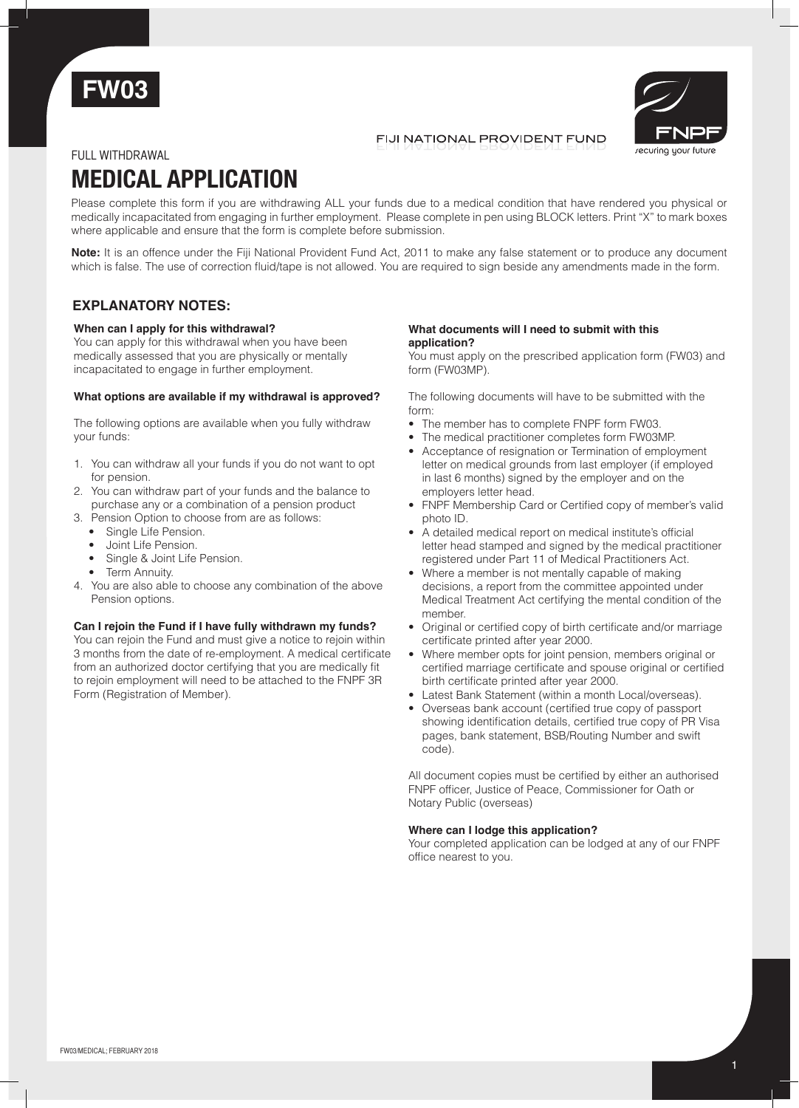



## FIJI NATIONAL PROVIDENT FUND

## FULL withdrawal

# **MEDICAL APPLICATION**

Please complete this form if you are withdrawing ALL your funds due to a medical condition that have rendered you physical or medically incapacitated from engaging in further employment. Please complete in pen using BLOCK letters. Print "X" to mark boxes where applicable and ensure that the form is complete before submission.

**Note:** It is an offence under the Fiji National Provident Fund Act, 2011 to make any false statement or to produce any document which is false. The use of correction fluid/tape is not allowed. You are required to sign beside any amendments made in the form.

# **EXPLANATORY NOTES:**

## **When can I apply for this withdrawal?**

You can apply for this withdrawal when you have been medically assessed that you are physically or mentally incapacitated to engage in further employment.

## **What options are available if my withdrawal is approved?**

The following options are available when you fully withdraw your funds:

- 1. You can withdraw all your funds if you do not want to opt for pension.
- 2. You can withdraw part of your funds and the balance to purchase any or a combination of a pension product
- 3. Pension Option to choose from are as follows:
	- Single Life Pension.
	- Joint Life Pension.
	- Single & Joint Life Pension.
	- Term Annuity.
- 4. You are also able to choose any combination of the above Pension options.

#### **Can I rejoin the Fund if I have fully withdrawn my funds?**

You can rejoin the Fund and must give a notice to rejoin within 3 months from the date of re-employment. A medical certificate from an authorized doctor certifying that you are medically fit to rejoin employment will need to be attached to the FNPF 3R Form (Registration of Member).

#### **What documents will I need to submit with this application?**

You must apply on the prescribed application form (FW03) and form (FW03MP).

The following documents will have to be submitted with the form:

- The member has to complete FNPF form FW03.
- The medical practitioner completes form FW03MP.
- Acceptance of resignation or Termination of employment letter on medical grounds from last employer (if employed in last 6 months) signed by the employer and on the employers letter head.
- FNPF Membership Card or Certified copy of member's valid photo ID.
- A detailed medical report on medical institute's official letter head stamped and signed by the medical practitioner registered under Part 11 of Medical Practitioners Act.
- Where a member is not mentally capable of making decisions, a report from the committee appointed under Medical Treatment Act certifying the mental condition of the member.
- Original or certified copy of birth certificate and/or marriage certificate printed after year 2000.
- Where member opts for joint pension, members original or certified marriage certificate and spouse original or certified birth certificate printed after year 2000.
- Latest Bank Statement (within a month Local/overseas).
- Overseas bank account (certified true copy of passport showing identification details, certified true copy of PR Visa pages, bank statement, BSB/Routing Number and swift code).

All document copies must be certified by either an authorised FNPF officer, Justice of Peace, Commissioner for Oath or Notary Public (overseas)

#### **Where can I lodge this application?**

Your completed application can be lodged at any of our FNPF office nearest to you.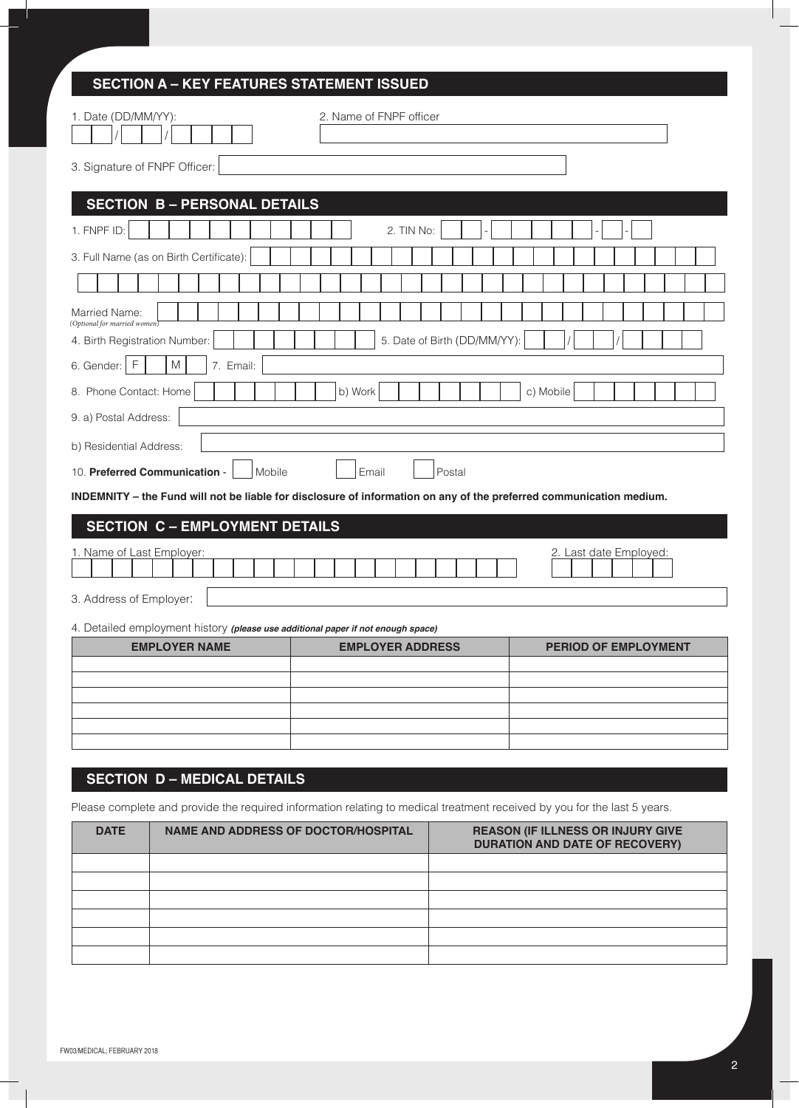| <b>SECTION A – KEY FEATURES STATEMENT ISSUED</b>                                                                         |  |
|--------------------------------------------------------------------------------------------------------------------------|--|
| 2. Name of FNPF officer<br>1. Date (DD/MM/YY):                                                                           |  |
| 3. Signature of FNPF Officer:                                                                                            |  |
| <b>SECTION B-PERSONAL DETAILS</b>                                                                                        |  |
| 1. FNPF ID:<br>2. TIN No:                                                                                                |  |
| 3. Full Name (as on Birth Certificate):                                                                                  |  |
|                                                                                                                          |  |
| Married Name:<br>(Optional for married women)                                                                            |  |
| 5. Date of Birth (DD/MM/YY):<br>4. Birth Registration Number:                                                            |  |
| F<br>M<br>7. Email:<br>6. Gender:                                                                                        |  |
| 8. Phone Contact: Home<br>b) Work<br>c) Mobile                                                                           |  |
| 9. a) Postal Address:                                                                                                    |  |
| b) Residential Address:                                                                                                  |  |
| 10. Preferred Communication -<br>Mobile<br>Email<br>Postal                                                               |  |
| INDEMNITY - the Fund will not be liable for disclosure of information on any of the preferred communication medium.      |  |
| <b>SECTION C - EMPLOYMENT DETAILS</b>                                                                                    |  |
| 1. Name of Last Employer:<br>2. Last date Employed:                                                                      |  |
| 3. Address of Employer:                                                                                                  |  |
| 4. Detailed employment history (please use additional paper if not enough space)                                         |  |
| <b>EMPLOYER NAME</b><br><b>EMPLOYER ADDRESS</b><br><b>PERIOD OF EMPLOYMENT</b>                                           |  |
|                                                                                                                          |  |
|                                                                                                                          |  |
|                                                                                                                          |  |
|                                                                                                                          |  |
| <b>SECTION D - MEDICAL DETAILS</b>                                                                                       |  |
| Please complete and provide the required information relating to medical treatment received by you for the last 5 years. |  |

| <b>DATE</b> | NAME AND ADDRESS OF DOCTOR/HOSPITAL | <b>REASON (IF ILLNESS OR INJURY GIVE</b><br><b>DURATION AND DATE OF RECOVERY)</b> |
|-------------|-------------------------------------|-----------------------------------------------------------------------------------|
|             |                                     |                                                                                   |
|             |                                     |                                                                                   |
|             |                                     |                                                                                   |
|             |                                     |                                                                                   |
|             |                                     |                                                                                   |
|             |                                     |                                                                                   |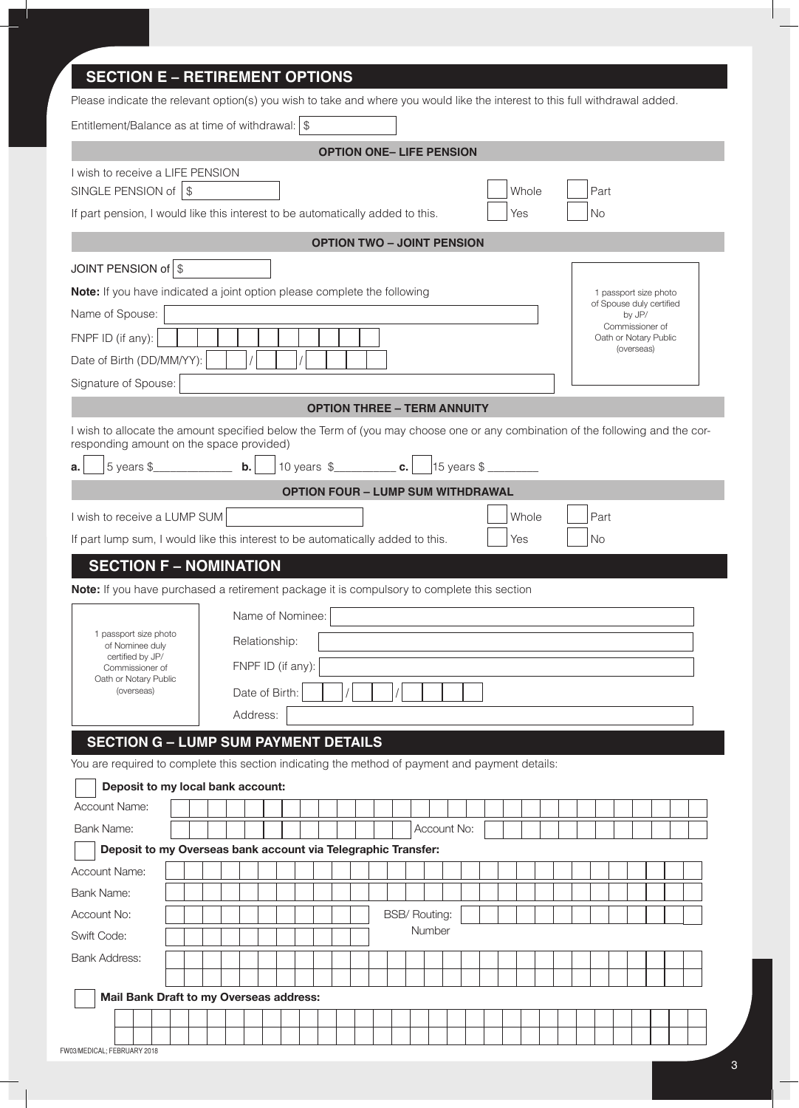# 1 passport size photo of Spouse duly certified by JP/ Commissioner of Oath or Notary Public (overseas) **SECTION E – RETIREMENT OPTIONS** Please indicate the relevant option(s) you wish to take and where you would like the interest to this full withdrawal added. Entitlement/Balance as at time of withdrawal:  $\frac{1}{3}$ **Option ONE– Life Pension** I wish to receive a LIFE PENSION SINGLE PENSION of  $\vert \$ If part pension, I would like this interest to be automatically added to this.  $\vert \cdot \vert$  Yes  $\vert \cdot \vert$  No **OPTION TWO – JOINT PENSION**  JOINT PENSION of  $\frac{1}{3}$ **Note:** If you have indicated a joint option please complete the following Name of Spouse: FNPF ID (if any): Date of Birth (DD/MM/YY): Signature of Spouse: **OPTION THREE – TERM ANNUITY** I wish to allocate the amount specified below the Term of (you may choose one or any combination of the following and the corresponding amount on the space provided) **a.** 5 years \$\_\_\_\_\_\_\_\_\_\_\_\_\_\_ **b.** 10 years \$\_\_\_\_\_\_\_\_\_\_\_ **c.** 15 years \$ \_\_\_\_\_\_\_\_\_ **OPTION FOUR – LUMP SUM WITHDRAWAL**  I wish to receive a LUMP SUM **Notify CONSUM** Recorded a LUMP SUM **Notify CONSUMER A Part**

If part lump sum, I would like this interest to be automatically added to this.  $\left| \right|$  Yes  $\left| \right|$  No

# **SECTION F – NOMINATION**

**Note:** If you have purchased a retirement package it is compulsory to complete this section

|                                                                                 | Name of Nominee:  |
|---------------------------------------------------------------------------------|-------------------|
| 1 passport size photo<br>of Nominee duly<br>certified by JP/<br>Commissioner of | Relationship:     |
|                                                                                 | FNPF ID (if any): |
| Oath or Notary Public<br>(overseas)                                             | Date of Birth:    |
|                                                                                 | Address:          |

# **SECTION G – LUMP SUM PAYMENT DETAILS**

You are required to complete this section indicating the method of payment and payment details:

| Deposit to my local bank account:                             |  |  |  |  |  |  |                      |        |             |  |  |  |  |  |  |  |
|---------------------------------------------------------------|--|--|--|--|--|--|----------------------|--------|-------------|--|--|--|--|--|--|--|
| <b>Account Name:</b>                                          |  |  |  |  |  |  |                      |        |             |  |  |  |  |  |  |  |
| Bank Name:                                                    |  |  |  |  |  |  |                      |        | Account No: |  |  |  |  |  |  |  |
| Deposit to my Overseas bank account via Telegraphic Transfer: |  |  |  |  |  |  |                      |        |             |  |  |  |  |  |  |  |
| <b>Account Name:</b>                                          |  |  |  |  |  |  |                      |        |             |  |  |  |  |  |  |  |
| Bank Name:                                                    |  |  |  |  |  |  |                      |        |             |  |  |  |  |  |  |  |
| Account No:                                                   |  |  |  |  |  |  | <b>BSB/ Routing:</b> |        |             |  |  |  |  |  |  |  |
| Swift Code:                                                   |  |  |  |  |  |  |                      | Number |             |  |  |  |  |  |  |  |
| <b>Bank Address:</b>                                          |  |  |  |  |  |  |                      |        |             |  |  |  |  |  |  |  |
|                                                               |  |  |  |  |  |  |                      |        |             |  |  |  |  |  |  |  |
| Mail Bank Draft to my Overseas address:                       |  |  |  |  |  |  |                      |        |             |  |  |  |  |  |  |  |
|                                                               |  |  |  |  |  |  |                      |        |             |  |  |  |  |  |  |  |
|                                                               |  |  |  |  |  |  |                      |        |             |  |  |  |  |  |  |  |
| FW03/MEDICAL; FEBRUARY 2018                                   |  |  |  |  |  |  |                      |        |             |  |  |  |  |  |  |  |